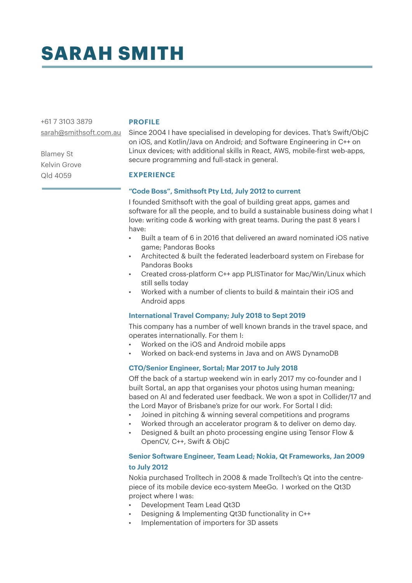# **SARAH SMITH**

+61 7 3103 3879

### **PROFILE**

Blamey St Kelvin Grove Qld 4059

[sarah@smithsoft.com.au](mailto:sarah@smithsoft.com.au) Since 2004 I have specialised in developing for devices. That's Swift/ObjC on iOS, and Kotlin/Java on Android; and Software Engineering in C++ on Linux devices; with additional skills in React, AWS, mobile-first web-apps, secure programming and full-stack in general.

# **EXPERIENCE**

# **"Code Boss", Smithsoft Pty Ltd, July 2012 to current**

I founded Smithsoft with the goal of building great apps, games and software for all the people, and to build a sustainable business doing what I love: writing code & working with great teams. During the past 8 years I have:

- Built a team of 6 in 2016 that delivered an award nominated iOS native game; Pandoras Books
- Architected & built the federated leaderboard system on Firebase for Pandoras Books
- Created cross-platform C++ app PLISTinator for Mac/Win/Linux which still sells today
- Worked with a number of clients to build & maintain their iOS and Android apps

## **International Travel Company; July 2018 to Sept 2019**

This company has a number of well known brands in the travel space, and operates internationally. For them I:

- Worked on the iOS and Android mobile apps
- Worked on back-end systems in Java and on AWS DynamoDB

# **CTO/Senior Engineer, Sortal; Mar 2017 to July 2018**

Off the back of a startup weekend win in early 2017 my co-founder and I built Sortal, an app that organises your photos using human meaning; based on AI and federated user feedback. We won a spot in Collider/17 and the Lord Mayor of Brisbane's prize for our work. For Sortal I did:

- Joined in pitching & winning several competitions and programs
- Worked through an accelerator program & to deliver on demo day.
	- Designed & built an photo processing engine using Tensor Flow & OpenCV, C++, Swift & ObjC

# **Senior Software Engineer, Team Lead; Nokia, Qt Frameworks, Jan 2009 to July 2012**

Nokia purchased Trolltech in 2008 & made Trolltech's Qt into the centrepiece of its mobile device eco-system MeeGo. I worked on the Qt3D project where I was:

- Development Team Lead Qt3D
- Designing & Implementing Qt3D functionality in C++
- Implementation of importers for 3D assets